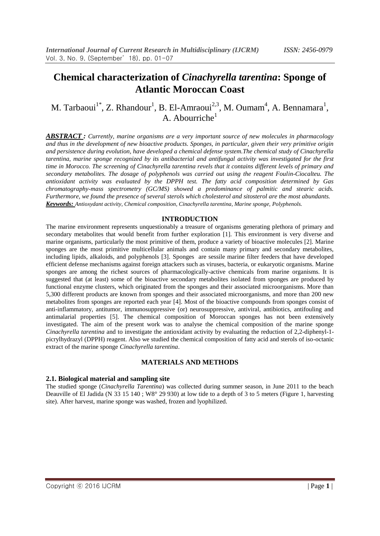# **Chemical characterization of** *Cinachyrella tarentina***: Sponge of Atlantic Moroccan Coast**

## M. Tarbaoui<sup>1\*</sup>, Z. Rhandour<sup>1</sup>, B. El-Amraoui<sup>2,3</sup>, M. Oumam<sup>4</sup>, A. Bennamara<sup>1</sup>, A. Abourriche<sup>1</sup>

*ABSTRACT : Currently, marine organisms are a very important source of new molecules in pharmacology and thus in the development of new bioactive products. Sponges, in particular, given their very primitive origin and persistence during evolution, have developed a chemical defense system.The chemical study of Cinachyrella tarentina, marine sponge recognized by its antibacterial and antifungal activity was investigated for the first time in Morocco. The screening of Cinachyrella tarentina revels that it contains different levels of primary and secondary metabolites. The dosage of polyphenols was carried out using the reagent Foulin-Ciocalteu. The antioxidant activity was evaluated by the DPPH test. The fatty acid composition determined by Gas chromatography-mass spectrometry (GC/MS) showed a predominance of palmitic and stearic acids. Furthermore, we found the presence of several sterols which cholesterol and sitosterol are the most abundants. Keywords: Antioxydant activity, Chemical composition, Cinachyrella tarentina, Marine sponge, Polyphenols.*

#### **INTRODUCTION**

The marine environment represents unquestionably a treasure of organisms generating plethora of primary and secondary metabolites that would benefit from further exploration [1]. This environment is very diverse and marine organisms, particularly the most primitive of them, produce a variety of bioactive molecules [2]. Marine sponges are the most primitive multicellular animals and contain many primary and secondary metabolites, including lipids, alkaloids, and polyphenols [3]. Sponges are sessile marine filter feeders that have developed efficient defense mechanisms against foreign attackers such as viruses, bacteria, or eukaryotic organisms. Marine sponges are among the richest sources of pharmacologically-active chemicals from marine organisms. It is suggested that (at least) some of the bioactive secondary metabolites isolated from sponges are produced by functional enzyme clusters, which originated from the sponges and their associated microorganisms. More than 5,300 different products are known from sponges and their associated microorganisms, and more than 200 new metabolites from sponges are reported each year [4]. Most of the bioactive compounds from sponges consist of anti-inflammatory, antitumor, immunosuppressive (or) neurosuppressive, antiviral, antibiotics, antifouling and antimalarial properties [5]. The chemical composition of Moroccan sponges has not been extensively investigated. The aim of the present work was to analyse the chemical composition of the marine sponge *Cinachyrella tarentina* and to investigate the antioxidant activity by evaluating the reduction of 2,2-diphenyl-1 picrylhydrazyl (DPPH) reagent. Also we studied the chemical composition of fatty acid and sterols of iso-octanic extract of the marine sponge *Cinachyrella tarentina*.

#### **MATERIALS AND METHODS**

#### **2.1. Biological material and sampling site**

The studied sponge (*Cinachyrella Tarentina*) was collected during summer season, in June 2011 to the beach Deauville of El Jadida (N 33 15 140; W8° 29 930) at low tide to a depth of 3 to 5 meters (Figure 1, harvesting site). After harvest, marine sponge was washed, frozen and lyophilized.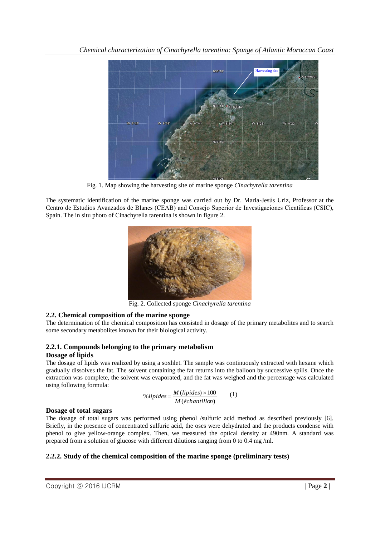

Fig. 1. Map showing the harvesting site of marine sponge *Cinachyrella tarentina*

The systematic identification of the marine sponge was carried out by Dr. Maria-Jesús Uriz, Professor at the Centro de Estudios Avanzados de Blanes (CEAB) and Consejo Superior de Investigaciones Científicas (CSIC), Spain. The in situ photo of Cinachyrella tarentina is shown in figure 2.



Fig. 2. Collected sponge *Cinachyrella tarentina*

## **2.2. Chemical composition of the marine sponge**

The determination of the chemical composition has consisted in dosage of the primary metabolites and to search some secondary metabolites known for their biological activity.

## **2.2.1. Compounds belonging to the primary metabolism**

## **Dosage of lipids**

The dosage of lipids was realized by using a soxhlet. The sample was continuously extracted with hexane which gradually dissolves the fat. The solvent containing the fat returns into the balloon by successive spills. Once the extraction was complete, the solvent was evaporated, and the fat was weighed and the percentage was calculated using following formula:

$$
\%lipides = \frac{M(lipides) \times 100}{M(\acute{e}chantillon)} \tag{1}
$$

## **Dosage of total sugars**

The dosage of total sugars was performed using phenol /sulfuric acid method as described previously [6]. Briefly, in the presence of concentrated sulfuric acid, the oses were dehydrated and the products condense with phenol to give yellow-orange complex. Then, we measured the optical density at 490nm. A standard was prepared from a solution of glucose with different dilutions ranging from 0 to 0.4 mg /ml.

## **2.2.2. Study of the chemical composition of the marine sponge (preliminary tests)**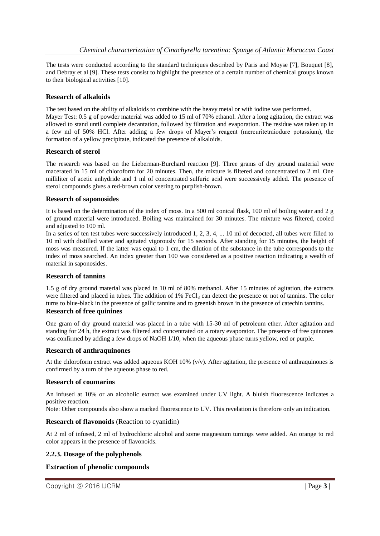The tests were conducted according to the standard techniques described by Paris and Moyse [7], Bouquet [8], and Debray et al [9]. These tests consist to highlight the presence of a certain number of chemical groups known to their biological activities [10].

#### **Research of alkaloids**

The test based on the ability of alkaloids to combine with the heavy metal or with iodine was performed.

Mayer Test: 0.5 g of powder material was added to 15 ml of 70% ethanol. After a long agitation, the extract was allowed to stand until complete decantation, followed by filtration and evaporation. The residue was taken up in a few ml of 50% HCl. After adding a few drops of Mayer's reagent (mercuritetraiodure potassium), the formation of a yellow precipitate, indicated the presence of alkaloids.

#### **Research of sterol**

The research was based on the Lieberman-Burchard reaction [9]. Three grams of dry ground material were macerated in 15 ml of chloroform for 20 minutes. Then, the mixture is filtered and concentrated to 2 ml. One milliliter of acetic anhydride and 1 ml of concentrated sulfuric acid were successively added. The presence of sterol compounds gives a red-brown color veering to purplish-brown.

### **Research of saponosides**

It is based on the determination of the index of moss. In a 500 ml conical flask, 100 ml of boiling water and 2 g of ground material were introduced. Boiling was maintained for 30 minutes. The mixture was filtered, cooled and adjusted to 100 ml.

In a series of ten test tubes were successively introduced 1, 2, 3, 4, ... 10 ml of decocted, all tubes were filled to 10 ml with distilled water and agitated vigorously for 15 seconds. After standing for 15 minutes, the height of moss was measured. If the latter was equal to 1 cm, the dilution of the substance in the tube corresponds to the index of moss searched. An index greater than 100 was considered as a positive reaction indicating a wealth of material in saponosides.

#### **Research of tannins**

1.5 g of dry ground material was placed in 10 ml of 80% methanol. After 15 minutes of agitation, the extracts were filtered and placed in tubes. The addition of 1% FeCl<sub>3</sub> can detect the presence or not of tannins. The color turns to blue-black in the presence of gallic tannins and to greenish brown in the presence of catechin tannins. **Research of free quinines**

One gram of dry ground material was placed in a tube with 15-30 ml of petroleum ether. After agitation and standing for 24 h, the extract was filtered and concentrated on a rotary evaporator. The presence of free quinones was confirmed by adding a few drops of NaOH 1/10, when the aqueous phase turns yellow, red or purple.

#### **Research of anthraquinones**

At the chloroform extract was added aqueous KOH 10% ( $v/v$ ). After agitation, the presence of anthraquinones is confirmed by a turn of the aqueous phase to red.

#### **Research of coumarins**

An infused at 10% or an alcoholic extract was examined under UV light. A bluish fluorescence indicates a positive reaction.

Note: Other compounds also show a marked fluorescence to UV. This revelation is therefore only an indication.

#### **Research of flavonoids** (Reaction to cyanidin)

At 2 ml of infused, 2 ml of hydrochloric alcohol and some magnesium turnings were added. An orange to red color appears in the presence of flavonoids.

#### **2.2.3. Dosage of the polyphenols**

#### **Extraction of phenolic compounds**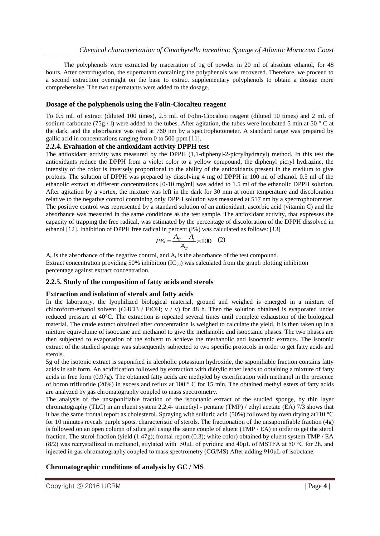The polyphenols were extracted by maceration of 1g of powder in 20 ml of absolute ethanol, for 48 hours. After centrifugation, the supernatant containing the polyphenols was recovered. Therefore, we proceed to a second extraction overnight on the base to extract supplementary polyphenols to obtain a dosage more comprehensive. The two supernatants were added to the dosage.

#### **Dosage of the polyphenols using the Folin-Ciocalteu reagent**

To 0.5 mL of extract (diluted 100 times), 2.5 mL of Folin**-**Ciocalteu reagent (diluted 10 times) and 2 mL of sodium carbonate (75g / l) were added to the tubes. After agitation, the tubes were incubated 5 min at 50  $\degree$  C at the dark, and the absorbance was read at 760 nm by a spectrophotometer. A standard range was prepared by gallic acid in concentrations ranging from 0 to 500 ppm [11].

#### **2.2.4. Evaluation of the antioxidant activity DPPH test**

The antioxidant activity was measured by the DPPH (1,1-diphenyl-2-picrylhydrazyl) method. In this test the antioxidants reduce the DPPH from a violet color to a yellow compound, the diphenyl picryl hydrazine, the intensity of the color is inversely proportional to the ability of the antioxidants present in the medium to give protons. The solution of DPPH was prepared by dissolving 4 mg of DPPH in 100 ml of ethanol. 0.5 ml of the ethanolic extract at different concentrations [0-10 mg/ml] was added to 1.5 ml of the ethanolic DPPH solution. After agitation by a vortex, the mixture was left in the dark for 30 min at room temperature and discoloration relative to the negative control containing only DPPH solution was measured at 517 nm by a spectrophotometer. The positive control was represented by a standard solution of an antioxidant, ascorbic acid (vitamin C) and the absorbance was measured in the same conditions as the test sample. The antioxidant activity, that expresses the capacity of trapping the free radical, was estimated by the percentage of discoloration of the DPPH dissolved in ethanol [12]. Inhibition of DPPH free radical in percent (I%) was calculated as follows: [13]

$$
I\% = \frac{A_C - A_t}{A_C} \times 100 \quad (2)
$$

 $A_c$  is the absorbance of the negative control, and  $A_t$  is the absorbance of the test compound. Extract concentration providing 50% inhibition  $(IC_{50})$  was calculated from the graph plotting inhibition percentage against extract concentration.

#### **2.2.5. Study of the composition of fatty acids and sterols**

#### **Extraction and isolation of sterols and fatty acids**

In the laboratory, the lyophilized biological material, ground and weighed is emerged in a mixture of chloroform-ethanol solvent (CHCl3 / EtOH;  $v / v$ ) for 48 h. Then the solution obtained is evaporated under reduced pressure at 40°C. The extraction is repeated several times until complete exhaustion of the biological material. The crude extract obtained after concentration is weighed to calculate the yield. It is then taken up in a mixture equivolume of isooctane and methanol to give the methanolic and isooctanic phases. The two phases are then subjected to evaporation of the solvent to achieve the methanolic and isooctanic extracts. The isotonic extract of the studied sponge was subsequently subjected to two specific protocols in order to get fatty acids and sterols.

5g of the isotonic extract is saponified in alcoholic potassium hydroxide, the saponifiable fraction contains fatty acids in salt form. An acidification followed by extraction with diétylic ether leads to obtaining a mixture of fatty acids in free form (0.97g). The obtained fatty acids are methyled by esterification with methanol in the presence of boron trifluoride (20%) in excess and reflux at 100 ° C for 15 min. The obtained methyl esters of fatty acids are analyzed by gas chromatography coupled to mass spectrometry.

The analysis of the unsaponifiable fraction of the isooctanic extract of the studied sponge, by thin layer chromatography (TLC) in an eluent system 2,2,4- trimethyl - pentane (TMP) / ethyl acetate (EA) 7/3 shows that it has the same frontal report as cholesterol. Spraying with sulfuric acid (50%) followed by oven drying at110 °C for 10 minutes reveals purple spots, characteristic of sterols. The fractionation of the unsaponifiable fraction (4g) is followed on an open column of silica gel using the same couple of eluent (TMP / EA) in order to get the sterol fraction. The sterol fraction (yield (1.47g); frontal report (0.3); white color) obtained by eluent system TMP / EA (8/2) was recrystallized in methanol, silylated with 50μL of pyridine and 40μL of MSTFA at 50 °C for 2h, and injected in gas chromatography coupled to mass spectrometry (CG/MS) After adding 910μL of isooctane.

#### **Chromatographic conditions of analysis by GC / MS**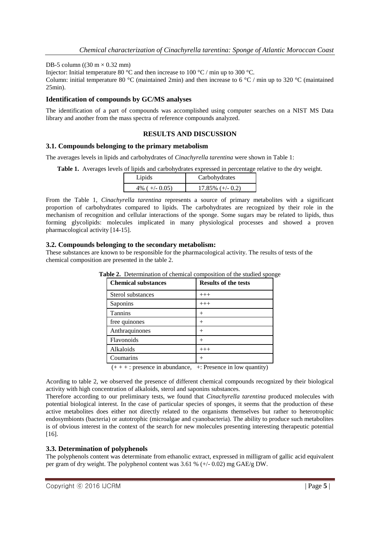#### DB-5 column ((30 m  $\times$  0.32 mm)

Injector: Initial temperature 80 °C and then increase to 100 °C / min up to 300 °C.

Column: initial temperature 80 °C (maintained 2min) and then increase to 6 °C / min up to 320 °C (maintained 25min).

#### **Identification of compounds by GC/MS analyses**

The identification of a part of compounds was accomplished using computer searches on a NIST MS Data library and another from the mass spectra of reference compounds analyzed.

#### **RESULTS AND DISCUSSION**

#### **3.1. Compounds belonging to the primary metabolism**

The averages levels in lipids and carbohydrates of *Cinachyrella tarentina* were shown in Table 1:

**Table 1.** Averages levels of lipids and carbohydrates expressed in percentage relative to the dry weight.

| Lipids            | Carbohydrates       |
|-------------------|---------------------|
| 4\% ( $+/-$ 0.05) | $17.85\%$ (+/- 0.2) |

From the Table 1, *Cinachyrella tarentina* represents a source of primary metabolites with a significant proportion of carbohydrates compared to lipids. The carbohydrates are recognized by their role in the mechanism of recognition and cellular interactions of the sponge. Some sugars may be related to lipids, thus forming glycolipids: molecules implicated in many physiological processes and showed a proven pharmacological activity [14-15].

#### **3.2. Compounds belonging to the secondary metabolism:**

These substances are known to be responsible for the pharmacological activity. The results of tests of the chemical composition are presented in the table 2.

| <b>Chemical substances</b> | <b>Results of the tests</b> |
|----------------------------|-----------------------------|
| Sterol substances          | $+++$                       |
| Saponins                   | $+++$                       |
| <b>Tannins</b>             | $^{+}$                      |
| free quinones              |                             |
| Anthraquinones             | $^{+}$                      |
| Flavonoids                 | $^+$                        |
| Alkaloids                  | $+++$                       |
| Coumarins                  |                             |

**Table 2.** Determination of chemical composition of the studied sponge

 $(+ + + :)$  presence in abundance,  $+ :$  Presence in low quantity)

Acording to table 2, we observed the presence of different chemical compounds recognized by their biological activity with high concentration of alkaloids, sterol and saponins substances.

Therefore according to our preliminary tests, we found that *Cinachyrella tarentina* produced molecules with potential biological interest. In the case of particular species of sponges, it seems that the production of these active metabolites does either not directly related to the organisms themselves but rather to heterotrophic endosymbionts (bacteria) or autotrophic (microalgae and cyanobacteria). The ability to produce such metabolites is of obvious interest in the context of the search for new molecules presenting interesting therapeutic potential [16].

#### **3.3. Determination of polyphenols**

The polyphenols content was determinate from ethanolic extract, expressed in milligram of gallic acid equivalent per gram of dry weight. The polyphenol content was  $3.61\%$  (+/- 0.02) mg GAE/g DW.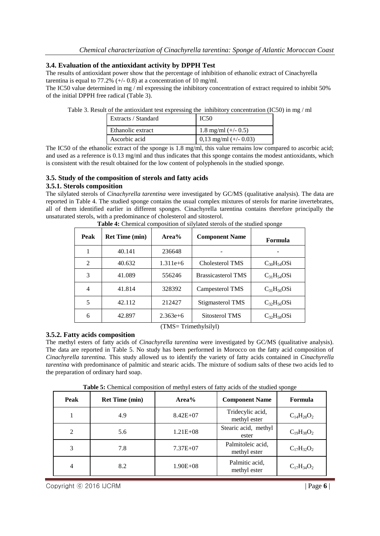#### **3.4. Evaluation of the antioxidant activity by DPPH Test**

The results of antioxidant power show that the percentage of inhibition of ethanolic extract of Cinachyrella tarentina is equal to 77.2%  $(+/- 0.8)$  at a concentration of 10 mg/ml.

The IC50 value determined in mg / ml expressing the inhibitory concentration of extract required to inhibit 50% of the initial DPPH free radical (Table 3).

|  | Table 3. Result of the antioxidant test expressing the inhibitory concentration (IC50) in mg / ml |
|--|---------------------------------------------------------------------------------------------------|
|  |                                                                                                   |

| Extracts / Standard | IC <sub>50</sub>        |
|---------------------|-------------------------|
| Ethanolic extract   | 1.8 mg/ml $(+/- 0.5)$   |
| Ascorbic acid       | 0,13 mg/ml $(+/- 0.03)$ |

The IC50 of the ethanolic extract of the sponge is 1.8 mg/ml, this value remains low compared to ascorbic acid; and used as a reference is 0.13 mg/ml and thus indicates that this sponge contains the modest antioxidants, which is consistent with the result obtained for the low content of polyphenols in the studied sponge.

## **3.5. Study of the composition of sterols and fatty acids**

#### **3.5.1. Sterols composition**

The silylated sterols of *Cinachyrella tarentina* were investigated by GC/MS (qualitative analysis). The data are reported in Table 4. The studied sponge contains the usual complex mixtures of sterols for marine invertebrates, all of them identified earlier in different sponges. Cinachyrella tarentina contains therefore principally the unsaturated sterols, with a predominance of cholesterol and sitosterol.

| Peak | <b>Ret Time (min)</b> | $Area\%$   | <b>Component Name</b>     | Formula           |
|------|-----------------------|------------|---------------------------|-------------------|
|      | 40.141                | 236648     |                           |                   |
| 2    | 40.632                | $1.311e+6$ | Cholesterol TMS           | $C_{30}H_{54}OSi$ |
| 3    | 41.089                | 556246     | <b>Brassicasterol TMS</b> | $C_{31}H_{54}OSi$ |
| 4    | 41.814                | 328392     | Campesterol TMS           | $C_{31}H_{56}OSi$ |
| 5    | 42.112                | 212427     | Stigmasterol TMS          | $C_{32}H_{56}OSi$ |
| 6    | 42.897                | $2.363e+6$ | Sitosterol TMS            | $C_{32}H_{58}OSi$ |

**Table 4:** Chemical composition of silylated sterols of the studied sponge

(TMS= Trimethylsilyl)

#### **3.5.2. Fatty acids composition**

The methyl esters of fatty acids of *Cinachyrella tarentina* were investigated by GC/MS (qualitative analysis). The data are reported in Table 5. No study has been performed in Morocco on the fatty acid composition of *Cinachyrella tarentina.* This study allowed us to identify the variety of fatty acids contained in *Cinachyrella tarentina* with predominance of palmitic and stearic acids. The mixture of sodium salts of these two acids led to the preparation of ordinary hard soap.

**Table 5:** Chemical composition of methyl esters of fatty acids of the studied sponge

| Peak | <b>Ret Time (min)</b> | Area%        | <b>Component Name</b>             | <b>Formula</b>    |
|------|-----------------------|--------------|-----------------------------------|-------------------|
|      | 4.9                   | $8.42E + 07$ | Tridecylic acid,<br>methyl ester  | $C_{14}H_{28}O_2$ |
| 2    | 5.6                   | $1.21E + 08$ | Stearic acid, methyl<br>ester     | $C_{19}H_{38}O_2$ |
|      | 7.8                   | $7.37E + 07$ | Palmitoleic acid,<br>methyl ester | $C_{17}H_{32}O_2$ |
| 4    | 8.2                   | $1.90E + 08$ | Palmitic acid,<br>methyl ester    | $C_{17}H_{34}O_2$ |